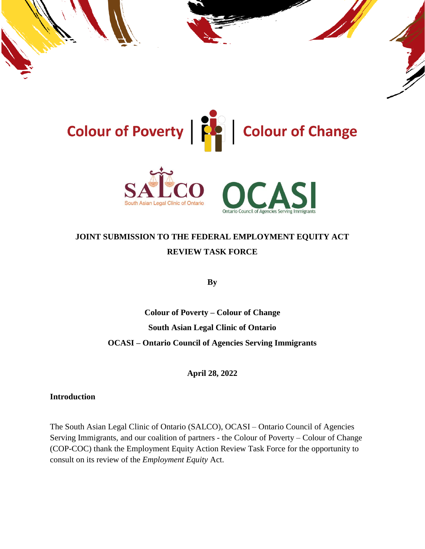

# **JOINT SUBMISSION TO THE FEDERAL EMPLOYMENT EQUITY ACT REVIEW TASK FORCE**

**By**

**Colour of Poverty – Colour of Change South Asian Legal Clinic of Ontario OCASI – Ontario Council of Agencies Serving Immigrants**

**April 28, 2022**

**Introduction**

The South Asian Legal Clinic of Ontario (SALCO), OCASI – Ontario Council of Agencies Serving Immigrants, and our coalition of partners - the Colour of Poverty – Colour of Change (COP-COC) thank the Employment Equity Action Review Task Force for the opportunity to consult on its review of the *Employment Equity* Act.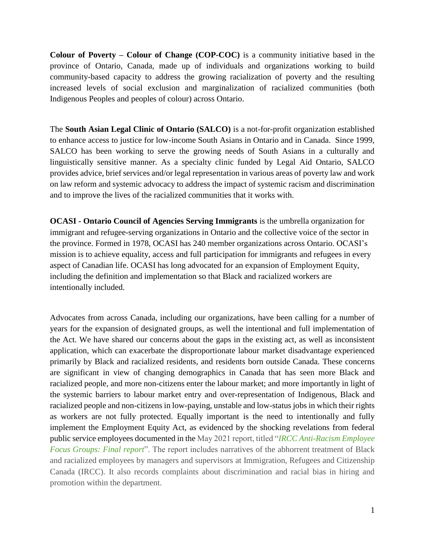**Colour of Poverty – Colour of Change (COP-COC)** is a community initiative based in the province of Ontario, Canada, made up of individuals and organizations working to build community-based capacity to address the growing racialization of poverty and the resulting increased levels of social exclusion and marginalization of racialized communities (both Indigenous Peoples and peoples of colour) across Ontario.

The **South Asian Legal Clinic of Ontario (SALCO)** is a not-for-profit organization established to enhance access to justice for low-income South Asians in Ontario and in Canada. Since 1999, SALCO has been working to serve the growing needs of South Asians in a culturally and linguistically sensitive manner. As a specialty clinic funded by Legal Aid Ontario, SALCO provides advice, brief services and/or legal representation in various areas of poverty law and work on law reform and systemic advocacy to address the impact of systemic racism and discrimination and to improve the lives of the racialized communities that it works with.

**OCASI - Ontario Council of Agencies Serving Immigrants** is the umbrella organization for immigrant and refugee-serving organizations in Ontario and the collective voice of the sector in the province. Formed in 1978, OCASI has 240 member organizations across Ontario. OCASI's mission is to achieve equality, access and full participation for immigrants and refugees in every aspect of Canadian life. OCASI has long advocated for an expansion of Employment Equity, including the definition and implementation so that Black and racialized workers are intentionally included.

Advocates from across Canada, including our organizations, have been calling for a number of years for the expansion of designated groups, as well the intentional and full implementation of the Act. We have shared our concerns about the gaps in the existing act, as well as inconsistent application, which can exacerbate the disproportionate labour market disadvantage experienced primarily by Black and racialized residents, and residents born outside Canada. These concerns are significant in view of changing demographics in Canada that has seen more Black and racialized people, and more non-citizens enter the labour market; and more importantly in light of the systemic barriers to labour market entry and over-representation of Indigenous, Black and racialized people and non-citizens in low-paying, unstable and low-status jobs in which their rights as workers are not fully protected. Equally important is the need to intentionally and fully implement the Employment Equity Act, as evidenced by the shocking revelations from federal public service employees documented in the May 2021 report, titled "*IRCC [Anti-Racism Employee](https://epe.lac-bac.gc.ca/100/200/301/pwgsc-tpsgc/por-ef/immigration_refugees/2021/122-20-e/index.html)  [Focus Groups: Final report](https://epe.lac-bac.gc.ca/100/200/301/pwgsc-tpsgc/por-ef/immigration_refugees/2021/122-20-e/index.html)*". The report includes narratives of the abhorrent treatment of Black and racialized employees by managers and supervisors at Immigration, Refugees and Citizenship Canada (IRCC). It also records complaints about discrimination and racial bias in hiring and promotion within the department.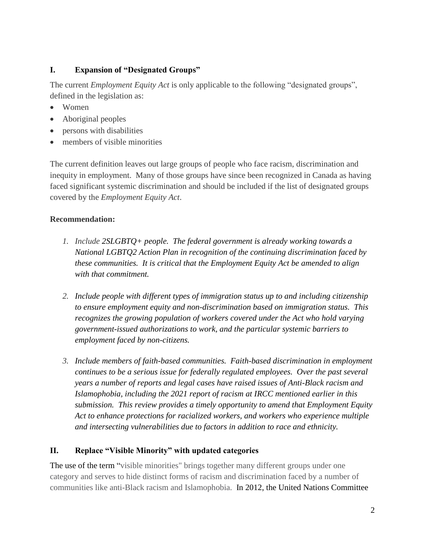## **I. Expansion of "Designated Groups"**

The current *Employment Equity Act* is only applicable to the following "designated groups", defined in the legislation as:

- Women
- Aboriginal peoples
- persons with disabilities
- members of visible minorities

The current definition leaves out large groups of people who face racism, discrimination and inequity in employment. Many of those groups have since been recognized in Canada as having faced significant systemic discrimination and should be included if the list of designated groups covered by the *Employment Equity Act*.

# **Recommendation:**

- *1. Include 2SLGBTQ+ people. The federal government is already working towards a National LGBTQ2 Action Plan in recognition of the continuing discrimination faced by these communities. It is critical that the Employment Equity Act be amended to align with that commitment.*
- *2. Include people with different types of immigration status up to and including citizenship to ensure employment equity and non-discrimination based on immigration status. This recognizes the growing population of workers covered under the Act who hold varying government-issued authorizations to work, and the particular systemic barriers to employment faced by non-citizens.*
- *3. Include members of faith-based communities. Faith-based discrimination in employment continues to be a serious issue for federally regulated employees. Over the past several years a number of reports and legal cases have raised issues of Anti-Black racism and Islamophobia, including the 2021 report of racism at IRCC mentioned earlier in this submission. This review provides a timely opportunity to amend that Employment Equity Act to enhance protections for racialized workers, and workers who experience multiple and intersecting vulnerabilities due to factors in addition to race and ethnicity.*

# **II. Replace "Visible Minority" with updated categories**

The use of the term "visible minorities" brings together many different groups under one category and serves to hide distinct forms of racism and discrimination faced by a number of communities like anti-Black racism and Islamophobia. In 2012, the United Nations Committee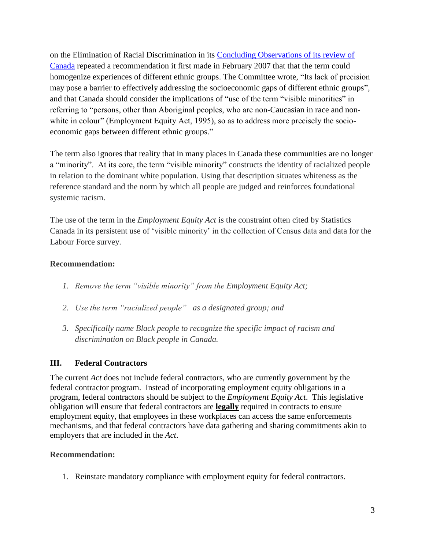on the Elimination of Racial Discrimination in its [Concluding Observations of its review of](https://www2.ohchr.org/english/bodies/cerd/docs/cerd.c.can.co.19-20.pdf)  [Canada](https://www2.ohchr.org/english/bodies/cerd/docs/cerd.c.can.co.19-20.pdf) repeated a recommendation it first made in February 2007 that that the term could homogenize experiences of different ethnic groups. The Committee wrote, "Its lack of precision may pose a barrier to effectively addressing the socioeconomic gaps of different ethnic groups", and that Canada should consider the implications of "use of the term "visible minorities" in referring to "persons, other than Aboriginal peoples, who are non-Caucasian in race and nonwhite in colour" (Employment Equity Act, 1995), so as to address more precisely the socioeconomic gaps between different ethnic groups."

The term also ignores that reality that in many places in Canada these communities are no longer a "minority". At its core, the term "visible minority" constructs the identity of racialized people in relation to the dominant white population. Using that description situates whiteness as the reference standard and the norm by which all people are judged and reinforces foundational systemic racism.

The use of the term in the *Employment Equity Act* is the constraint often cited by Statistics Canada in its persistent use of 'visible minority' in the collection of Census data and data for the Labour Force survey.

#### **Recommendation:**

- *1. Remove the term "visible minority" from the Employment Equity Act;*
- *2. Use the term "racialized people" as a designated group; and*
- *3. Specifically name Black people to recognize the specific impact of racism and discrimination on Black people in Canada.*

## **III. Federal Contractors**

The current *Act* does not include federal contractors, who are currently government by the federal contractor program. Instead of incorporating employment equity obligations in a program, federal contractors should be subject to the *Employment Equity Act*. This legislative obligation will ensure that federal contractors are **legally** required in contracts to ensure employment equity, that employees in these workplaces can access the same enforcements mechanisms, and that federal contractors have data gathering and sharing commitments akin to employers that are included in the *Act*.

#### **Recommendation:**

1. Reinstate mandatory compliance with employment equity for federal contractors.